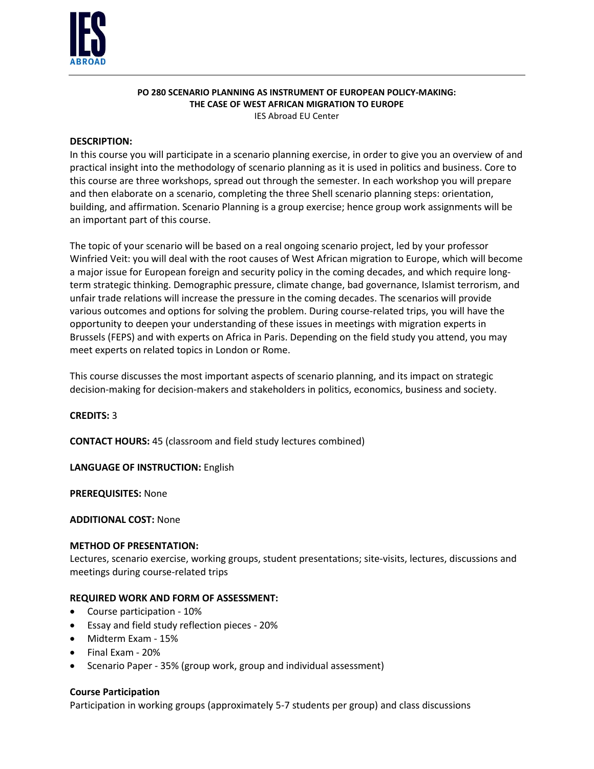

# **PO 280 SCENARIO PLANNING AS INSTRUMENT OF EUROPEAN POLICY-MAKING: THE CASE OF WEST AFRICAN MIGRATION TO EUROPE**

IES Abroad EU Center

## **DESCRIPTION:**

In this course you will participate in a scenario planning exercise, in order to give you an overview of and practical insight into the methodology of scenario planning as it is used in politics and business. Core to this course are three workshops, spread out through the semester. In each workshop you will prepare and then elaborate on a scenario, completing the three Shell scenario planning steps: orientation, building, and affirmation. Scenario Planning is a group exercise; hence group work assignments will be an important part of this course.

The topic of your scenario will be based on a real ongoing scenario project, led by your professor Winfried Veit: you will deal with the root causes of West African migration to Europe, which will become a major issue for European foreign and security policy in the coming decades, and which require longterm strategic thinking. Demographic pressure, climate change, bad governance, Islamist terrorism, and unfair trade relations will increase the pressure in the coming decades. The scenarios will provide various outcomes and options for solving the problem. During course-related trips, you will have the opportunity to deepen your understanding of these issues in meetings with migration experts in Brussels (FEPS) and with experts on Africa in Paris. Depending on the field study you attend, you may meet experts on related topics in London or Rome.

This course discusses the most important aspects of scenario planning, and its impact on strategic decision-making for decision-makers and stakeholders in politics, economics, business and society.

**CREDITS:** 3

**CONTACT HOURS:** 45 (classroom and field study lectures combined)

**LANGUAGE OF INSTRUCTION:** English

**PREREQUISITES:** None

**ADDITIONAL COST:** None

#### **METHOD OF PRESENTATION:**

Lectures, scenario exercise, working groups, student presentations; site-visits, lectures, discussions and meetings during course-related trips

## **REQUIRED WORK AND FORM OF ASSESSMENT:**

- Course participation 10%
- Essay and field study reflection pieces 20%
- Midterm Exam 15%
- Final Exam 20%
- Scenario Paper 35% (group work, group and individual assessment)

#### **Course Participation**

Participation in working groups (approximately 5-7 students per group) and class discussions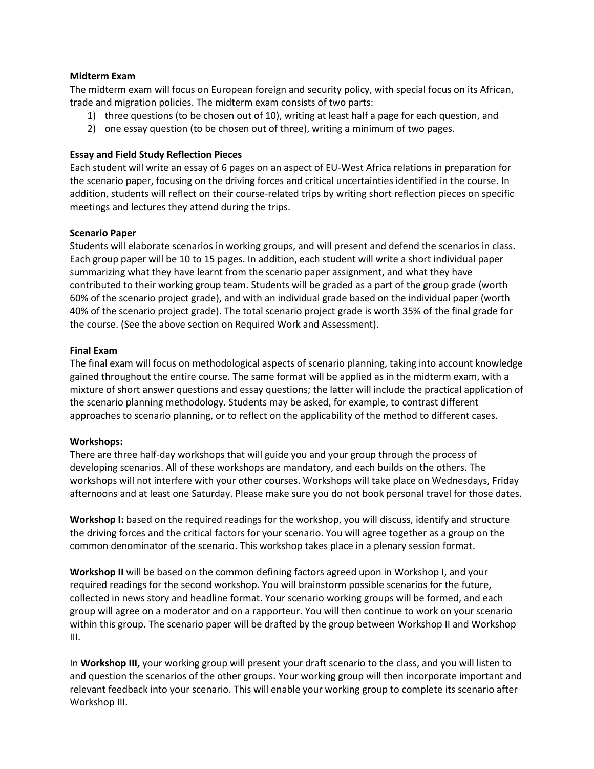### **Midterm Exam**

The midterm exam will focus on European foreign and security policy, with special focus on its African, trade and migration policies. The midterm exam consists of two parts:

- 1) three questions (to be chosen out of 10), writing at least half a page for each question, and
- 2) one essay question (to be chosen out of three), writing a minimum of two pages.

## **Essay and Field Study Reflection Pieces**

Each student will write an essay of 6 pages on an aspect of EU-West Africa relations in preparation for the scenario paper, focusing on the driving forces and critical uncertainties identified in the course. In addition, students will reflect on their course-related trips by writing short reflection pieces on specific meetings and lectures they attend during the trips.

## **Scenario Paper**

Students will elaborate scenarios in working groups, and will present and defend the scenarios in class. Each group paper will be 10 to 15 pages. In addition, each student will write a short individual paper summarizing what they have learnt from the scenario paper assignment, and what they have contributed to their working group team. Students will be graded as a part of the group grade (worth 60% of the scenario project grade), and with an individual grade based on the individual paper (worth 40% of the scenario project grade). The total scenario project grade is worth 35% of the final grade for the course. (See the above section on Required Work and Assessment).

#### **Final Exam**

The final exam will focus on methodological aspects of scenario planning, taking into account knowledge gained throughout the entire course. The same format will be applied as in the midterm exam, with a mixture of short answer questions and essay questions; the latter will include the practical application of the scenario planning methodology. Students may be asked, for example, to contrast different approaches to scenario planning, or to reflect on the applicability of the method to different cases.

#### **Workshops:**

There are three half-day workshops that will guide you and your group through the process of developing scenarios. All of these workshops are mandatory, and each builds on the others. The workshops will not interfere with your other courses. Workshops will take place on Wednesdays, Friday afternoons and at least one Saturday. Please make sure you do not book personal travel for those dates.

**Workshop I:** based on the required readings for the workshop, you will discuss, identify and structure the driving forces and the critical factors for your scenario. You will agree together as a group on the common denominator of the scenario. This workshop takes place in a plenary session format.

**Workshop II** will be based on the common defining factors agreed upon in Workshop I, and your required readings for the second workshop. You will brainstorm possible scenarios for the future, collected in news story and headline format. Your scenario working groups will be formed, and each group will agree on a moderator and on a rapporteur. You will then continue to work on your scenario within this group. The scenario paper will be drafted by the group between Workshop II and Workshop III.

In **Workshop III,** your working group will present your draft scenario to the class, and you will listen to and question the scenarios of the other groups. Your working group will then incorporate important and relevant feedback into your scenario. This will enable your working group to complete its scenario after Workshop III.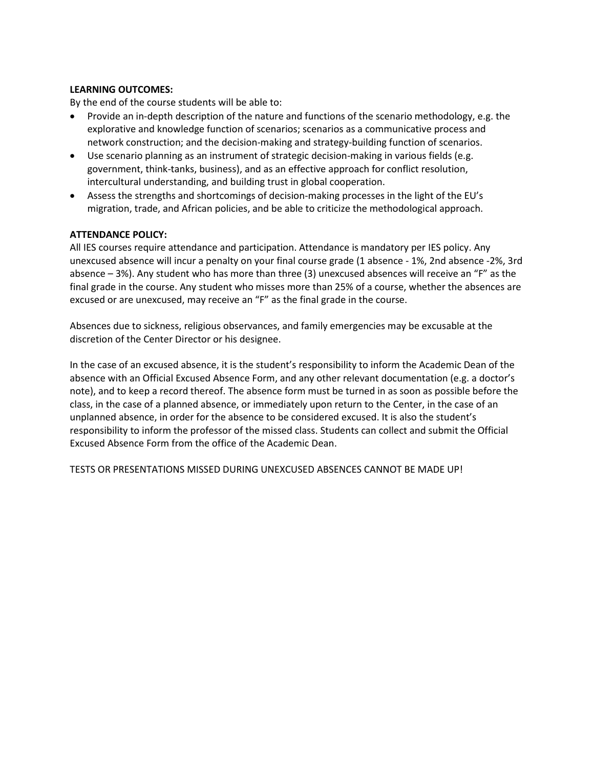## **LEARNING OUTCOMES:**

By the end of the course students will be able to:

- Provide an in-depth description of the nature and functions of the scenario methodology, e.g. the explorative and knowledge function of scenarios; scenarios as a communicative process and network construction; and the decision-making and strategy-building function of scenarios.
- Use scenario planning as an instrument of strategic decision-making in various fields (e.g. government, think-tanks, business), and as an effective approach for conflict resolution, intercultural understanding, and building trust in global cooperation.
- Assess the strengths and shortcomings of decision-making processes in the light of the EU's migration, trade, and African policies, and be able to criticize the methodological approach.

## **ATTENDANCE POLICY:**

All IES courses require attendance and participation. Attendance is mandatory per IES policy. Any unexcused absence will incur a penalty on your final course grade (1 absence - 1%, 2nd absence -2%, 3rd absence – 3%). Any student who has more than three (3) unexcused absences will receive an "F" as the final grade in the course. Any student who misses more than 25% of a course, whether the absences are excused or are unexcused, may receive an "F" as the final grade in the course.

Absences due to sickness, religious observances, and family emergencies may be excusable at the discretion of the Center Director or his designee.

In the case of an excused absence, it is the student's responsibility to inform the Academic Dean of the absence with an Official Excused Absence Form, and any other relevant documentation (e.g. a doctor's note), and to keep a record thereof. The absence form must be turned in as soon as possible before the class, in the case of a planned absence, or immediately upon return to the Center, in the case of an unplanned absence, in order for the absence to be considered excused. It is also the student's responsibility to inform the professor of the missed class. Students can collect and submit the Official Excused Absence Form from the office of the Academic Dean.

TESTS OR PRESENTATIONS MISSED DURING UNEXCUSED ABSENCES CANNOT BE MADE UP!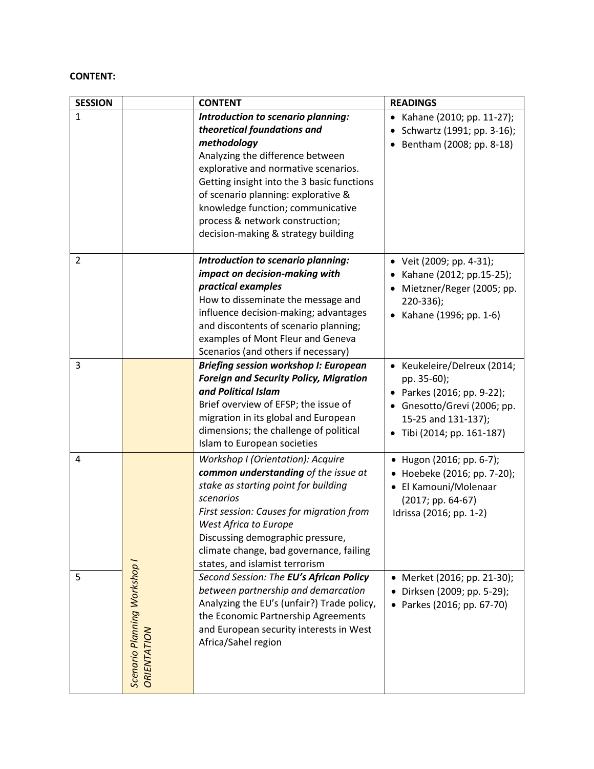## **CONTENT:**

| <b>SESSION</b> |                                             | <b>CONTENT</b>                                                                                                                                                                                                                                                                                                                                                   | <b>READINGS</b>                                                                                                                                              |
|----------------|---------------------------------------------|------------------------------------------------------------------------------------------------------------------------------------------------------------------------------------------------------------------------------------------------------------------------------------------------------------------------------------------------------------------|--------------------------------------------------------------------------------------------------------------------------------------------------------------|
| $\mathbf{1}$   |                                             | Introduction to scenario planning:<br>theoretical foundations and<br>methodology<br>Analyzing the difference between<br>explorative and normative scenarios.<br>Getting insight into the 3 basic functions<br>of scenario planning: explorative &<br>knowledge function; communicative<br>process & network construction;<br>decision-making & strategy building | • Kahane (2010; pp. 11-27);<br>Schwartz (1991; pp. 3-16);<br>Bentham (2008; pp. 8-18)                                                                        |
| $\overline{2}$ |                                             | Introduction to scenario planning:<br>impact on decision-making with<br>practical examples<br>How to disseminate the message and<br>influence decision-making; advantages<br>and discontents of scenario planning;<br>examples of Mont Fleur and Geneva<br>Scenarios (and others if necessary)                                                                   | • Veit (2009; pp. 4-31);<br>Kahane (2012; pp.15-25);<br>Mietzner/Reger (2005; pp.<br>$220-336$ ;<br>• Kahane (1996; pp. 1-6)                                 |
| 3              |                                             | <b>Briefing session workshop I: European</b><br><b>Foreign and Security Policy, Migration</b><br>and Political Islam<br>Brief overview of EFSP; the issue of<br>migration in its global and European<br>dimensions; the challenge of political<br>Islam to European societies                                                                                    | • Keukeleire/Delreux (2014;<br>pp. 35-60);<br>• Parkes (2016; pp. 9-22);<br>• Gnesotto/Grevi (2006; pp.<br>15-25 and 131-137);<br>• Tibi (2014; pp. 161-187) |
| 4              |                                             | Workshop I (Orientation): Acquire<br>common understanding of the issue at<br>stake as starting point for building<br>scenarios<br>First session: Causes for migration from<br>West Africa to Europe<br>Discussing demographic pressure,<br>climate change, bad governance, failing<br>states, and islamist terrorism                                             | • Hugon (2016; pp. 6-7);<br>• Hoebeke (2016; pp. 7-20);<br>• El Kamouni/Molenaar<br>$(2017; pp. 64-67)$<br>Idrissa (2016; pp. 1-2)                           |
| 5              | Scenario Planning Workshop I<br>ORIENTATION | Second Session: The EU's African Policy<br>between partnership and demarcation<br>Analyzing the EU's (unfair?) Trade policy,<br>the Economic Partnership Agreements<br>and European security interests in West<br>Africa/Sahel region                                                                                                                            | • Merket (2016; pp. 21-30);<br>Dirksen (2009; pp. 5-29);<br>Parkes (2016; pp. 67-70)                                                                         |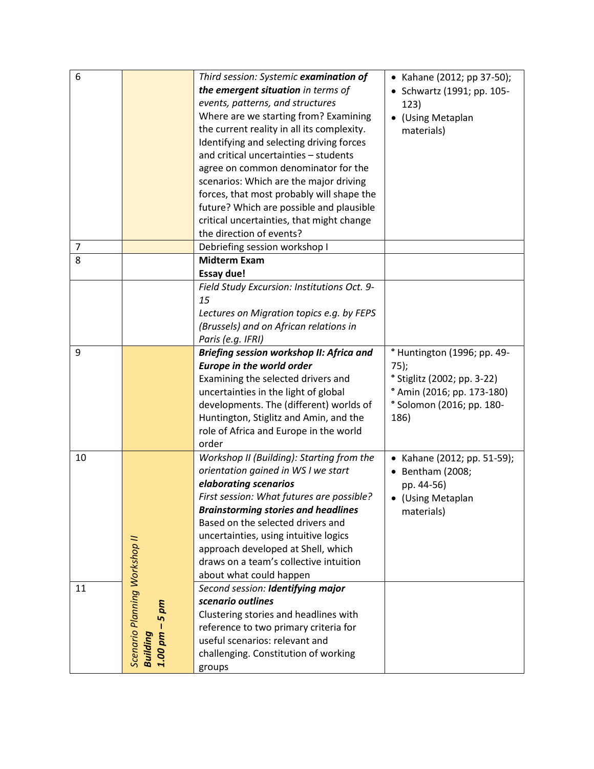| 6  |                                                             | Third session: Systemic examination of          | • Kahane (2012; pp 37-50);             |
|----|-------------------------------------------------------------|-------------------------------------------------|----------------------------------------|
|    |                                                             | the emergent situation in terms of              | • Schwartz (1991; pp. 105-             |
|    |                                                             | events, patterns, and structures                | 123)                                   |
|    |                                                             | Where are we starting from? Examining           | • (Using Metaplan                      |
|    |                                                             | the current reality in all its complexity.      | materials)                             |
|    |                                                             | Identifying and selecting driving forces        |                                        |
|    |                                                             | and critical uncertainties - students           |                                        |
|    |                                                             | agree on common denominator for the             |                                        |
|    |                                                             | scenarios: Which are the major driving          |                                        |
|    |                                                             | forces, that most probably will shape the       |                                        |
|    |                                                             | future? Which are possible and plausible        |                                        |
|    |                                                             | critical uncertainties, that might change       |                                        |
|    |                                                             | the direction of events?                        |                                        |
| 7  |                                                             | Debriefing session workshop I                   |                                        |
| 8  |                                                             | <b>Midterm Exam</b>                             |                                        |
|    |                                                             | <b>Essay due!</b>                               |                                        |
|    |                                                             | Field Study Excursion: Institutions Oct. 9-     |                                        |
|    |                                                             | 15                                              |                                        |
|    |                                                             | Lectures on Migration topics e.g. by FEPS       |                                        |
|    |                                                             | (Brussels) and on African relations in          |                                        |
|    |                                                             | Paris (e.g. IFRI)                               |                                        |
| 9  |                                                             | <b>Briefing session workshop II: Africa and</b> | <sup>o</sup> Huntington (1996; pp. 49- |
|    |                                                             | <b>Europe in the world order</b>                | $75$ );                                |
|    |                                                             | Examining the selected drivers and              | <sup>o</sup> Stiglitz (2002; pp. 3-22) |
|    |                                                             | uncertainties in the light of global            | ° Amin (2016; pp. 173-180)             |
|    |                                                             | developments. The (different) worlds of         | ° Solomon (2016; pp. 180-              |
|    |                                                             | Huntington, Stiglitz and Amin, and the          | 186)                                   |
|    |                                                             | role of Africa and Europe in the world          |                                        |
|    |                                                             | order                                           |                                        |
| 10 |                                                             | Workshop II (Building): Starting from the       | • Kahane (2012; pp. 51-59);            |
|    |                                                             | orientation gained in WS I we start             | Bentham (2008;                         |
|    |                                                             | elaborating scenarios                           | pp. 44-56)                             |
|    |                                                             | First session: What futures are possible?       | (Using Metaplan                        |
|    |                                                             | <b>Brainstorming stories and headlines</b>      | materials)                             |
|    |                                                             | Based on the selected drivers and               |                                        |
|    |                                                             | uncertainties, using intuitive logics           |                                        |
|    |                                                             | approach developed at Shell, which              |                                        |
|    |                                                             | draws on a team's collective intuition          |                                        |
|    |                                                             | about what could happen                         |                                        |
| 11 |                                                             | Second session: Identifying major               |                                        |
|    |                                                             | scenario outlines                               |                                        |
|    | pm<br><b>Lŋ</b>                                             | Clustering stories and headlines with           |                                        |
|    |                                                             | reference to two primary criteria for           |                                        |
|    |                                                             |                                                 |                                        |
|    |                                                             | useful scenarios: relevant and                  |                                        |
|    | <b>Scenario Planning Workshop II</b><br>Building<br>1.00 pm | challenging. Constitution of working            |                                        |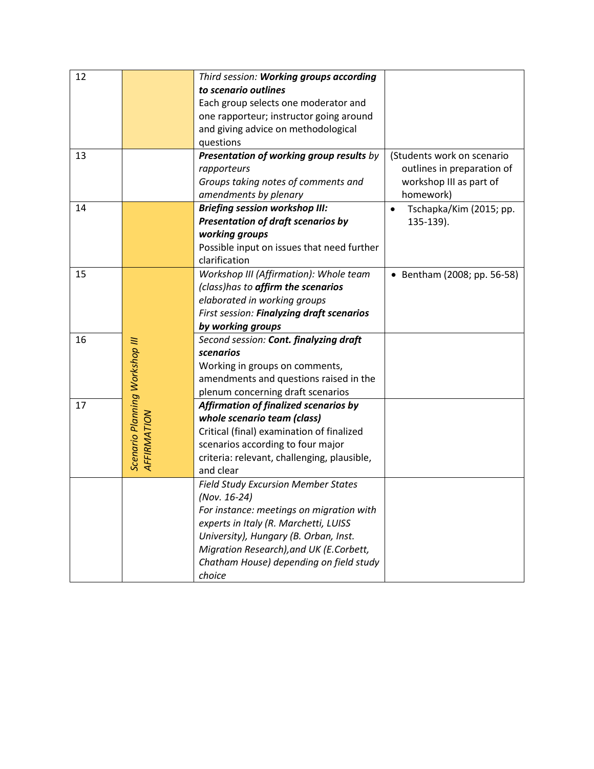| 12 |                                               | Third session: Working groups according     |                             |
|----|-----------------------------------------------|---------------------------------------------|-----------------------------|
|    |                                               | to scenario outlines                        |                             |
|    |                                               | Each group selects one moderator and        |                             |
|    |                                               | one rapporteur; instructor going around     |                             |
|    |                                               | and giving advice on methodological         |                             |
|    |                                               | questions                                   |                             |
| 13 |                                               | Presentation of working group results by    | (Students work on scenario  |
|    |                                               | rapporteurs                                 | outlines in preparation of  |
|    |                                               | Groups taking notes of comments and         | workshop III as part of     |
|    |                                               | amendments by plenary                       | homework)                   |
| 14 |                                               | <b>Briefing session workshop III:</b>       | Tschapka/Kim (2015; pp.     |
|    |                                               | <b>Presentation of draft scenarios by</b>   | 135-139).                   |
|    |                                               | working groups                              |                             |
|    |                                               | Possible input on issues that need further  |                             |
|    |                                               | clarification                               |                             |
| 15 |                                               | Workshop III (Affirmation): Whole team      | • Bentham (2008; pp. 56-58) |
|    |                                               | (class)has to affirm the scenarios          |                             |
|    |                                               | elaborated in working groups                |                             |
|    |                                               | First session: Finalyzing draft scenarios   |                             |
|    |                                               | by working groups                           |                             |
| 16 |                                               | Second session: Cont. finalyzing draft      |                             |
|    |                                               | scenarios                                   |                             |
|    |                                               | Working in groups on comments,              |                             |
|    |                                               | amendments and questions raised in the      |                             |
|    |                                               | plenum concerning draft scenarios           |                             |
| 17 |                                               | Affirmation of finalized scenarios by       |                             |
|    | Scenario Planning Workshop III<br>AFFIRMATION | whole scenario team (class)                 |                             |
|    |                                               | Critical (final) examination of finalized   |                             |
|    |                                               | scenarios according to four major           |                             |
|    |                                               | criteria: relevant, challenging, plausible, |                             |
|    |                                               | and clear                                   |                             |
|    |                                               | <b>Field Study Excursion Member States</b>  |                             |
|    |                                               | (Nov. 16-24)                                |                             |
|    |                                               | For instance: meetings on migration with    |                             |
|    |                                               | experts in Italy (R. Marchetti, LUISS       |                             |
|    |                                               | University), Hungary (B. Orban, Inst.       |                             |
|    |                                               | Migration Research), and UK (E.Corbett,     |                             |
|    |                                               | Chatham House) depending on field study     |                             |
|    |                                               | choice                                      |                             |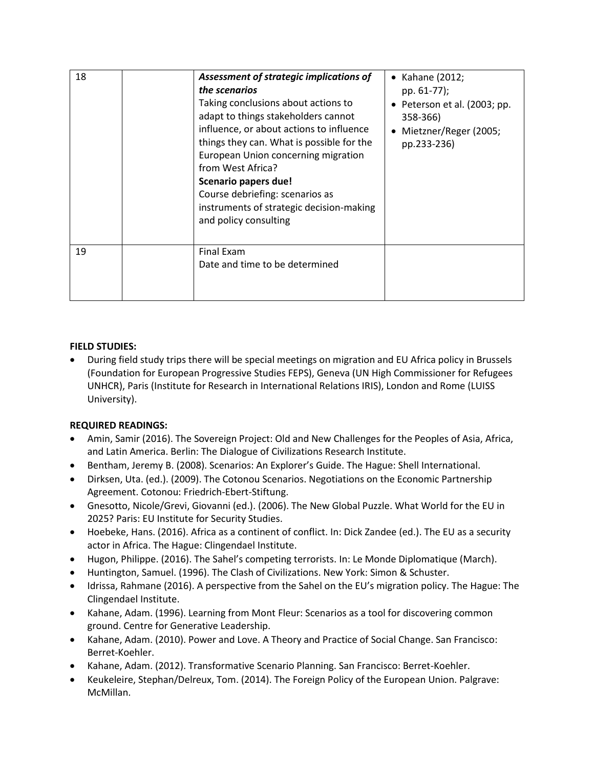| 18 | Assessment of strategic implications of<br>the scenarios<br>Taking conclusions about actions to<br>adapt to things stakeholders cannot<br>influence, or about actions to influence<br>things they can. What is possible for the<br>European Union concerning migration<br>from West Africa?<br>Scenario papers due!<br>Course debriefing: scenarios as<br>instruments of strategic decision-making<br>and policy consulting | Kahane (2012;<br>pp. 61-77);<br>• Peterson et al. (2003; pp.<br>358-366)<br>• Mietzner/Reger (2005;<br>pp.233-236) |
|----|-----------------------------------------------------------------------------------------------------------------------------------------------------------------------------------------------------------------------------------------------------------------------------------------------------------------------------------------------------------------------------------------------------------------------------|--------------------------------------------------------------------------------------------------------------------|
| 19 | <b>Final Exam</b><br>Date and time to be determined                                                                                                                                                                                                                                                                                                                                                                         |                                                                                                                    |

## **FIELD STUDIES:**

 During field study trips there will be special meetings on migration and EU Africa policy in Brussels (Foundation for European Progressive Studies FEPS), Geneva (UN High Commissioner for Refugees UNHCR), Paris (Institute for Research in International Relations IRIS), London and Rome (LUISS University).

## **REQUIRED READINGS:**

- Amin, Samir (2016). The Sovereign Project: Old and New Challenges for the Peoples of Asia, Africa, and Latin America. Berlin: The Dialogue of Civilizations Research Institute.
- Bentham, Jeremy B. (2008). Scenarios: An Explorer's Guide. The Hague: Shell International.
- Dirksen, Uta. (ed.). (2009). The Cotonou Scenarios. Negotiations on the Economic Partnership Agreement. Cotonou: Friedrich-Ebert-Stiftung.
- Gnesotto, Nicole/Grevi, Giovanni (ed.). (2006). The New Global Puzzle. What World for the EU in 2025? Paris: EU Institute for Security Studies.
- Hoebeke, Hans. (2016). Africa as a continent of conflict. In: Dick Zandee (ed.). The EU as a security actor in Africa. The Hague: Clingendael Institute.
- Hugon, Philippe. (2016). The Sahel's competing terrorists. In: Le Monde Diplomatique (March).
- Huntington, Samuel. (1996). The Clash of Civilizations. New York: Simon & Schuster.
- Idrissa, Rahmane (2016). A perspective from the Sahel on the EU's migration policy. The Hague: The Clingendael Institute.
- Kahane, Adam. (1996). Learning from Mont Fleur: Scenarios as a tool for discovering common ground. Centre for Generative Leadership.
- Kahane, Adam. (2010). Power and Love. A Theory and Practice of Social Change. San Francisco: Berret-Koehler.
- Kahane, Adam. (2012). Transformative Scenario Planning. San Francisco: Berret-Koehler.
- Keukeleire, Stephan/Delreux, Tom. (2014). The Foreign Policy of the European Union. Palgrave: McMillan.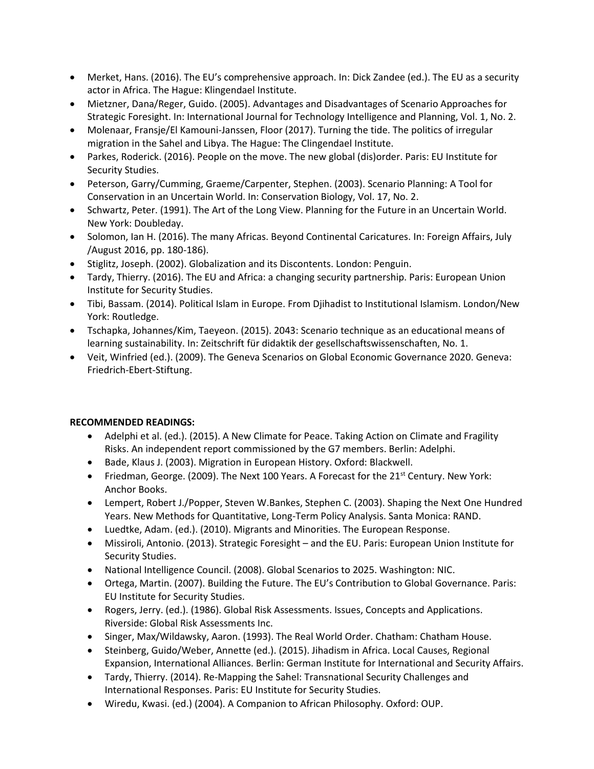- Merket, Hans. (2016). The EU's comprehensive approach. In: Dick Zandee (ed.). The EU as a security actor in Africa. The Hague: Klingendael Institute.
- Mietzner, Dana/Reger, Guido. (2005). Advantages and Disadvantages of Scenario Approaches for Strategic Foresight. In: International Journal for Technology Intelligence and Planning, Vol. 1, No. 2.
- Molenaar, Fransje/El Kamouni-Janssen, Floor (2017). Turning the tide. The politics of irregular migration in the Sahel and Libya. The Hague: The Clingendael Institute.
- Parkes, Roderick. (2016). People on the move. The new global (dis)order. Paris: EU Institute for Security Studies.
- Peterson, Garry/Cumming, Graeme/Carpenter, Stephen. (2003). Scenario Planning: A Tool for Conservation in an Uncertain World. In: Conservation Biology, Vol. 17, No. 2.
- Schwartz, Peter. (1991). The Art of the Long View. Planning for the Future in an Uncertain World. New York: Doubleday.
- Solomon, Ian H. (2016). The many Africas. Beyond Continental Caricatures. In: Foreign Affairs, July /August 2016, pp. 180-186).
- Stiglitz, Joseph. (2002). Globalization and its Discontents. London: Penguin.
- Tardy, Thierry. (2016). The EU and Africa: a changing security partnership. Paris: European Union Institute for Security Studies.
- Tibi, Bassam. (2014). Political Islam in Europe. From Djihadist to Institutional Islamism. London/New York: Routledge.
- Tschapka, Johannes/Kim, Taeyeon. (2015). 2043: Scenario technique as an educational means of learning sustainability. In: Zeitschrift für didaktik der gesellschaftswissenschaften, No. 1.
- Veit, Winfried (ed.). (2009). The Geneva Scenarios on Global Economic Governance 2020. Geneva: Friedrich-Ebert-Stiftung.

## **RECOMMENDED READINGS:**

- Adelphi et al. (ed.). (2015). A New Climate for Peace. Taking Action on Climate and Fragility Risks. An independent report commissioned by the G7 members. Berlin: Adelphi.
- Bade, Klaus J. (2003). Migration in European History. Oxford: Blackwell.
- Friedman, George. (2009). The Next 100 Years. A Forecast for the  $21<sup>st</sup>$  Century. New York: Anchor Books.
- Lempert, Robert J./Popper, Steven W.Bankes, Stephen C. (2003). Shaping the Next One Hundred Years. New Methods for Quantitative, Long-Term Policy Analysis. Santa Monica: RAND.
- Luedtke, Adam. (ed.). (2010). Migrants and Minorities. The European Response.
- Missiroli, Antonio. (2013). Strategic Foresight and the EU. Paris: European Union Institute for Security Studies.
- National Intelligence Council. (2008). Global Scenarios to 2025. Washington: NIC.
- Ortega, Martin. (2007). Building the Future. The EU's Contribution to Global Governance. Paris: EU Institute for Security Studies.
- Rogers, Jerry. (ed.). (1986). Global Risk Assessments. Issues, Concepts and Applications. Riverside: Global Risk Assessments Inc.
- Singer, Max/Wildawsky, Aaron. (1993). The Real World Order. Chatham: Chatham House.
- Steinberg, Guido/Weber, Annette (ed.). (2015). Jihadism in Africa. Local Causes, Regional Expansion, International Alliances. Berlin: German Institute for International and Security Affairs.
- Tardy, Thierry. (2014). Re-Mapping the Sahel: Transnational Security Challenges and International Responses. Paris: EU Institute for Security Studies.
- Wiredu, Kwasi. (ed.) (2004). A Companion to African Philosophy. Oxford: OUP.